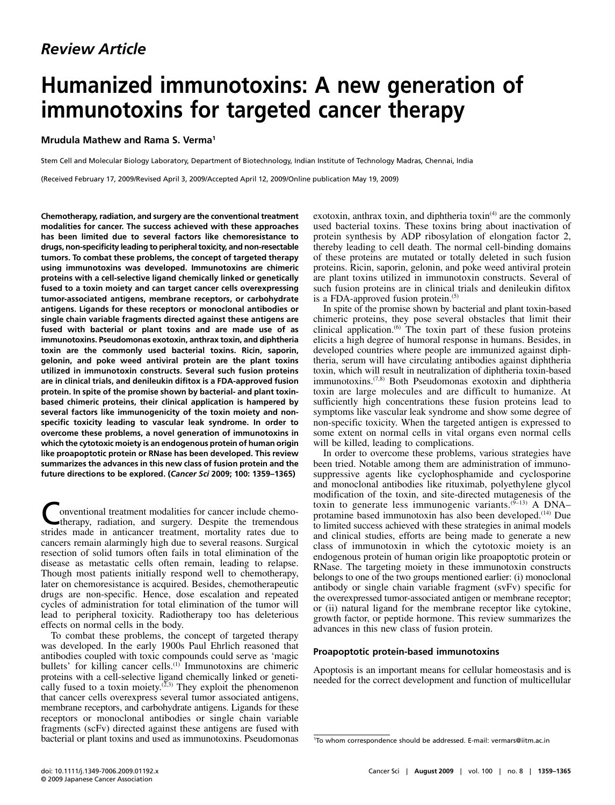# **Humanized immunotoxins: A new generation of immunotoxins for targeted cancer therapy**

## **Mrudula Mathew and Rama S. Verma<sup>1</sup>**

Stem Cell and Molecular Biology Laboratory, Department of Biotechnology, Indian Institute of Technology Madras, Chennai, India

(Received February 17, 2009/Revised April 3, 2009/Accepted April 12, 2009/Online publication May 19, 2009)

**Chemotherapy, radiation, and surgery are the conventional treatment modalities for cancer. The success achieved with these approaches has been limited due to several factors like chemoresistance to drugs, non-specificity leading to peripheral toxicity, and non-resectable tumors. To combat these problems, the concept of targeted therapy using immunotoxins was developed. Immunotoxins are chimeric proteins with a cell-selective ligand chemically linked or genetically fused to a toxin moiety and can target cancer cells overexpressing tumor-associated antigens, membrane receptors, or carbohydrate antigens. Ligands for these receptors or monoclonal antibodies or single chain variable fragments directed against these antigens are fused with bacterial or plant toxins and are made use of as immunotoxins. Pseudomonas exotoxin, anthrax toxin, and diphtheria toxin are the commonly used bacterial toxins. Ricin, saporin, gelonin, and poke weed antiviral protein are the plant toxins utilized in immunotoxin constructs. Several such fusion proteins are in clinical trials, and denileukin difitox is a FDA-approved fusion protein. In spite of the promise shown by bacterial- and plant toxinbased chimeric proteins, their clinical application is hampered by several factors like immunogenicity of the toxin moiety and nonspecific toxicity leading to vascular leak syndrome. In order to overcome these problems, a novel generation of immunotoxins in which the cytotoxic moiety is an endogenous protein of human origin like proapoptotic protein or RNase has been developed. This review summarizes the advances in this new class of fusion protein and the future directions to be explored. (***Cancer Sci* **2009; 100: 1359–1365)**

Conventional treatment modalities for cancer include chemo-<br>therapy, radiation, and surgery. Despite the tremendous<br>strides mode in ortinancer treatment, metality, rates due to strides made in anticancer treatment, mortality rates due to cancers remain alarmingly high due to several reasons. Surgical resection of solid tumors often fails in total elimination of the disease as metastatic cells often remain, leading to relapse. Though most patients initially respond well to chemotherapy, later on chemoresistance is acquired. Besides, chemotherapeutic drugs are non-specific. Hence, dose escalation and repeated cycles of administration for total elimination of the tumor will lead to peripheral toxicity. Radiotherapy too has deleterious effects on normal cells in the body.

To combat these problems, the concept of targeted therapy was developed. In the early 1900s Paul Ehrlich reasoned that antibodies coupled with toxic compounds could serve as 'magic bullets' for killing cancer cells.<sup>(1)</sup> Immunotoxins are chimeric proteins with a cell-selective ligand chemically linked or genetically fused to a toxin moiety.<sup> $(2,3)$ </sup> They exploit the phenomenon that cancer cells overexpress several tumor associated antigens, membrane receptors, and carbohydrate antigens. Ligands for these receptors or monoclonal antibodies or single chain variable fragments (scFv) directed against these antigens are fused with bacterial or plant toxins and used as immunotoxins. Pseudomonas

exotoxin, anthrax toxin, and diphtheria toxin $(4)$  are the commonly used bacterial toxins. These toxins bring about inactivation of protein synthesis by ADP ribosylation of elongation factor 2, thereby leading to cell death. The normal cell-binding domains of these proteins are mutated or totally deleted in such fusion proteins. Ricin, saporin, gelonin, and poke weed antiviral protein are plant toxins utilized in immunotoxin constructs. Several of such fusion proteins are in clinical trials and denileukin difitox is a FDA-approved fusion protein.<sup>(5)</sup>

In spite of the promise shown by bacterial and plant toxin-based chimeric proteins, they pose several obstacles that limit their clinical application. $(6)$  The toxin part of these fusion proteins elicits a high degree of humoral response in humans. Besides, in developed countries where people are immunized against diphtheria, serum will have circulating antibodies against diphtheria toxin, which will result in neutralization of diphtheria toxin-based immunotoxins.(7,8) Both Pseudomonas exotoxin and diphtheria toxin are large molecules and are difficult to humanize. At sufficiently high concentrations these fusion proteins lead to symptoms like vascular leak syndrome and show some degree of non-specific toxicity. When the targeted antigen is expressed to some extent on normal cells in vital organs even normal cells will be killed, leading to complications.

In order to overcome these problems, various strategies have been tried. Notable among them are administration of immunosuppressive agents like cyclophosphamide and cyclosporine and monoclonal antibodies like rituximab, polyethylene glycol modification of the toxin, and site-directed mutagenesis of the toxin to generate less immunogenic variants. $(9-13)$  A DNA– protamine based immunotoxin has also been developed.<sup>(14)</sup> Due to limited success achieved with these strategies in animal models and clinical studies, efforts are being made to generate a new class of immunotoxin in which the cytotoxic moiety is an endogenous protein of human origin like proapoptotic protein or RNase. The targeting moiety in these immunotoxin constructs belongs to one of the two groups mentioned earlier: (i) monoclonal antibody or single chain variable fragment (svFv) specific for the overexpressed tumor-associated antigen or membrane receptor; or (ii) natural ligand for the membrane receptor like cytokine, growth factor, or peptide hormone. This review summarizes the advances in this new class of fusion protein.

### **Proapoptotic protein-based immunotoxins**

Apoptosis is an important means for cellular homeostasis and is needed for the correct development and function of multicellular

<sup>1</sup>To whom correspondence should be addressed. E-mail: vermars@iitm.ac.in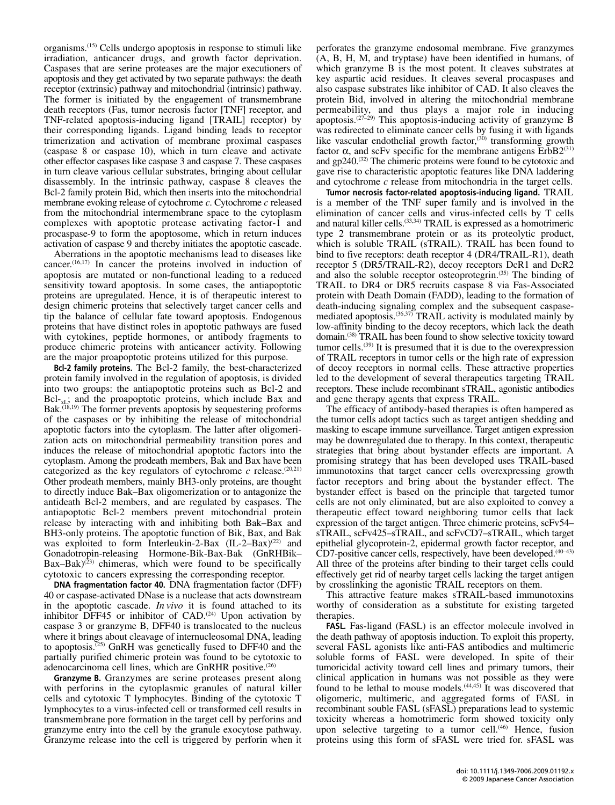organisms.(15) Cells undergo apoptosis in response to stimuli like irradiation, anticancer drugs, and growth factor deprivation. Caspases that are serine proteases are the major executioners of apoptosis and they get activated by two separate pathways: the death receptor (extrinsic) pathway and mitochondrial (intrinsic) pathway. The former is initiated by the engagement of transmembrane death receptors (Fas, tumor necrosis factor [TNF] receptor, and TNF-related apoptosis-inducing ligand [TRAIL] receptor) by their corresponding ligands. Ligand binding leads to receptor trimerization and activation of membrane proximal caspases (caspase 8 or caspase 10), which in turn cleave and activate other effector caspases like caspase 3 and caspase 7. These caspases in turn cleave various cellular substrates, bringing about cellular disassembly. In the intrinsic pathway, caspase 8 cleaves the Bcl-2 family protein Bid, which then inserts into the mitochondrial membrane evoking release of cytochrome *c*. Cytochrome *c* released from the mitochondrial intermembrane space to the cytoplasm complexes with apoptotic protease activating factor-1 and procaspase-9 to form the apoptosome, which in return induces activation of caspase 9 and thereby initiates the apoptotic cascade.

Aberrations in the apoptotic mechanisms lead to diseases like cancer.<sup>(16,17)</sup> In cancer the proteins involved in induction of apoptosis are mutated or non-functional leading to a reduced sensitivity toward apoptosis. In some cases, the antiapoptotic proteins are upregulated. Hence, it is of therapeutic interest to design chimeric proteins that selectively target cancer cells and tip the balance of cellular fate toward apoptosis. Endogenous proteins that have distinct roles in apoptotic pathways are fused with cytokines, peptide hormones, or antibody fragments to produce chimeric proteins with anticancer activity. Following are the major proapoptotic proteins utilized for this purpose.

**Bcl-2 family proteins.** The Bcl-2 family, the best-characterized protein family involved in the regulation of apoptosis, is divided into two groups: the antiapoptotic proteins such as Bcl-2 and  $Bel_{x,L}$ ; and the proapoptotic proteins, which include Bax and Bak.<sup>(18,19)</sup> The former prevents apoptosis by sequestering proforms of the caspases or by inhibiting the release of mitochondrial apoptotic factors into the cytoplasm. The latter after oligomerization acts on mitochondrial permeability transition pores and induces the release of mitochondrial apoptotic factors into the cytoplasm. Among the prodeath members, Bak and Bax have been categorized as the key regulators of cytochrome  $c$  release.<sup>(20,21)</sup> Other prodeath members, mainly BH3-only proteins, are thought to directly induce Bak–Bax oligomerization or to antagonize the antideath Bcl-2 members, and are regulated by caspases. The antiapoptotic Bcl-2 members prevent mitochondrial protein release by interacting with and inhibiting both Bak–Bax and BH3-only proteins. The apoptotic function of Bik, Bax, and Bak was exploited to form Interleukin-2-Bax  $(IL-2-Bax)^{(22)}$  and Gonadotropin-releasing Hormone-Bik-Bax-Bak (GnRHBik–  $Bax-Bak$ <sup>(23)</sup> chimeras, which were found to be specifically cytotoxic to cancers expressing the corresponding receptor.

**DNA fragmentation factor 40.** DNA fragmentation factor (DFF) 40 or caspase-activated DNase is a nuclease that acts downstream in the apoptotic cascade. *In vivo* it is found attached to its inhibitor  $DFF45$  or inhibitor of CAD.<sup>(24)</sup> Upon activation by caspase 3 or granzyme B, DFF40 is translocated to the nucleus where it brings about cleavage of internucleosomal DNA, leading to apoptosis.(25) GnRH was genetically fused to DFF40 and the partially purified chimeric protein was found to be cytotoxic to adenocarcinoma cell lines, which are GnRHR positive.<sup>(26)</sup>

**Granzyme B.** Granzymes are serine proteases present along with perforins in the cytoplasmic granules of natural killer cells and cytotoxic T lymphocytes. Binding of the cytotoxic T lymphocytes to a virus-infected cell or transformed cell results in transmembrane pore formation in the target cell by perforins and granzyme entry into the cell by the granule exocytose pathway. Granzyme release into the cell is triggered by perforin when it perforates the granzyme endosomal membrane. Five granzymes (A, B, H, M, and tryptase) have been identified in humans, of which granzyme B is the most potent. It cleaves substrates at key aspartic acid residues. It cleaves several procaspases and also caspase substrates like inhibitor of CAD. It also cleaves the protein Bid, involved in altering the mitochondrial membrane permeability, and thus plays a major role in inducing apoptosis.<sup> $(27-29)$ </sup> This apoptosis-inducing activity of granzyme B was redirected to eliminate cancer cells by fusing it with ligands like vascular endothelial growth factor, $(30)$  transforming growth factor  $\alpha$ , and scFv specific for the membrane antigens ErbB2<sup>(31)</sup> and gp240.(32) The chimeric proteins were found to be cytotoxic and gave rise to characteristic apoptotic features like DNA laddering and cytochrome *c* release from mitochondria in the target cells.

**Tumor necrosis factor-related apoptosis-inducing ligand.** TRAIL is a member of the TNF super family and is involved in the elimination of cancer cells and virus-infected cells by T cells and natural killer cells.<sup>(33,34)</sup> TRAIL is expressed as a homotrimeric type 2 transmembrane protein or as its proteolytic product, which is soluble TRAIL (sTRAIL). TRAIL has been found to bind to five receptors: death receptor 4 (DR4/TRAIL-R1), death receptor 5 (DR5/TRAIL-R2), decoy receptors DcR1 and DcR2 and also the soluble receptor osteoprotegrin.(35) The binding of TRAIL to DR4 or DR5 recruits caspase 8 via Fas-Associated protein with Death Domain (FADD), leading to the formation of death-inducing signaling complex and the subsequent caspasemediated apoptosis.<sup>(36,37)</sup> TRAIL activity is modulated mainly by low-affinity binding to the decoy receptors, which lack the death domain.(38) TRAIL has been found to show selective toxicity toward tumor cells.<sup>(39)</sup> It is presumed that it is due to the overexpression of TRAIL receptors in tumor cells or the high rate of expression of decoy receptors in normal cells. These attractive properties led to the development of several therapeutics targeting TRAIL receptors. These include recombinant sTRAIL, agonistic antibodies and gene therapy agents that express TRAIL.

The efficacy of antibody-based therapies is often hampered as the tumor cells adopt tactics such as target antigen shedding and masking to escape immune surveillance. Target antigen expression may be downregulated due to therapy. In this context, therapeutic strategies that bring about bystander effects are important. A promising strategy that has been developed uses TRAIL-based immunotoxins that target cancer cells overexpressing growth factor receptors and bring about the bystander effect. The bystander effect is based on the principle that targeted tumor cells are not only eliminated, but are also exploited to convey a therapeutic effect toward neighboring tumor cells that lack expression of the target antigen. Three chimeric proteins, scFv54– sTRAIL, scFv425–sTRAIL, and scFvCD7–sTRAIL, which target epithelial glycoprotein-2, epidermal growth factor receptor, and  $\overline{CD7}$ -positive cancer cells, respectively, have been developed.<sup>(40–43)</sup> All three of the proteins after binding to their target cells could effectively get rid of nearby target cells lacking the target antigen by crosslinking the agonistic TRAIL receptors on them.

This attractive feature makes sTRAIL-based immunotoxins worthy of consideration as a substitute for existing targeted therapies.

**FASL.** Fas-ligand (FASL) is an effector molecule involved in the death pathway of apoptosis induction. To exploit this property, several FASL agonists like anti-FAS antibodies and multimeric soluble forms of FASL were developed. In spite of their tumoricidal activity toward cell lines and primary tumors, their clinical application in humans was not possible as they were found to be lethal to mouse models. $(44,45)$  It was discovered that oligomeric, multimeric, and aggregated forms of FASL in recombinant souble FASL (sFASL) preparations lead to systemic toxicity whereas a homotrimeric form showed toxicity only upon selective targeting to a tumor cell. $(46)$  Hence, fusion proteins using this form of sFASL were tried for. sFASL was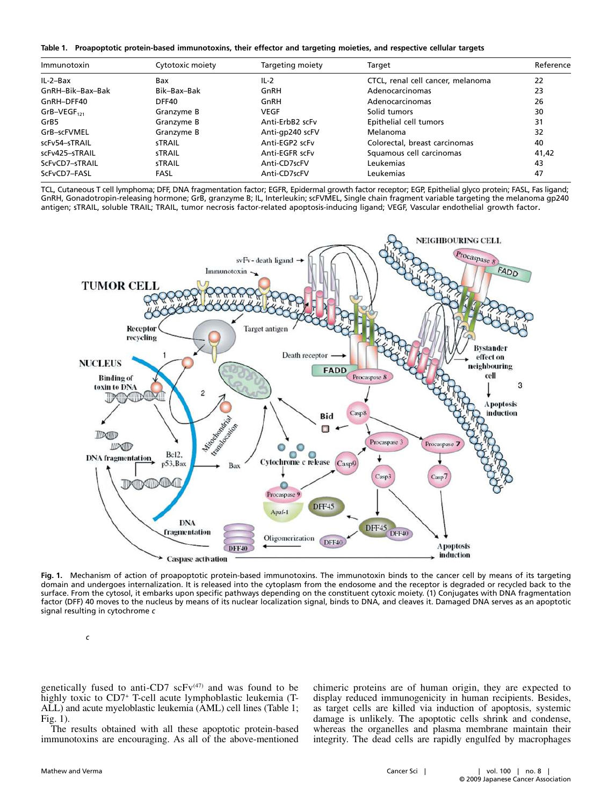**Table 1. Proapoptotic protein-based immunotoxins, their effector and targeting moieties, and respective cellular targets**

| Immunotoxin      | Cytotoxic moiety | Targeting moiety | Target                            | Reference |
|------------------|------------------|------------------|-----------------------------------|-----------|
| $IL-2-Bax$       | Bax              | $IL-2$           | CTCL, renal cell cancer, melanoma | 22        |
| GnRH-Bik-Bax-Bak | Bik-Bax-Bak      | GnRH             | Adenocarcinomas                   | 23        |
| GnRH-DFF40       | DFF40            | GnRH             | Adenocarcinomas                   | 26        |
| $GrB-VEGF121$    | Granzyme B       | <b>VEGF</b>      | Solid tumors                      | 30        |
| GrB5             | Granzyme B       | Anti-ErbB2 scFv  | Epithelial cell tumors            | 31        |
| GrB-scFVMEL      | Granzyme B       | Anti-gp240 scFV  | Melanoma                          | 32        |
| scFv54-sTRAIL    | <b>STRAIL</b>    | Anti-EGP2 scFv   | Colorectal, breast carcinomas     | 40        |
| scFv425-sTRAIL   | <b>sTRAIL</b>    | Anti-EGFR scFv   | Squamous cell carcinomas          | 41.42     |
| ScFvCD7-sTRAIL   | <b>STRAIL</b>    | Anti-CD7scFV     | Leukemias                         | 43        |
| ScFvCD7-FASL     | FASL             | Anti-CD7scFV     | Leukemias                         | 47        |

TCL, Cutaneous T cell lymphoma; DFF, DNA fragmentation factor; EGFR, Epidermal growth factor receptor; EGP, Epithelial glyco protein; FASL, Fas ligand; GnRH, Gonadotropin-releasing hormone; GrB, granzyme B; IL, Interleukin; scFVMEL, Single chain fragment variable targeting the melanoma gp240 antigen; sTRAIL, soluble TRAIL; TRAIL, tumor necrosis factor-related apoptosis-inducing ligand; VEGF, Vascular endothelial growth factor.



**Fig. 1.** Mechanism of action of proapoptotic protein-based immunotoxins. The immunotoxin binds to the cancer cell by means of its targeting domain and undergoes internalization. It is released into the cytoplasm from the endosome and the receptor is degraded or recycled back to the surface. From the cytosol, it embarks upon specific pathways depending on the constituent cytoxic moiety. (1) Conjugates with DNA fragmentation factor (DFF) 40 moves to the nucleus by means of its nuclear localization signal, binds to DNA, and cleaves it. Damaged DNA serves as an apoptotic signal resulting in cytochrome *c*

genetically fused to anti-CD7  $\text{scFv}^{(47)}$  and was found to be highly toxic to CD7<sup>+</sup> T-cell acute lymphoblastic leukemia (T-ALL) and acute myeloblastic leukemia (AML) cell lines (Table 1; Fig. 1).

The results obtained with all these apoptotic protein-based immunotoxins are encouraging. As all of the above-mentioned chimeric proteins are of human origin, they are expected to display reduced immunogenicity in human recipients. Besides, as target cells are killed via induction of apoptosis, systemic damage is unlikely. The apoptotic cells shrink and condense, whereas the organelles and plasma membrane maintain their integrity. The dead cells are rapidly engulfed by macrophages

*c*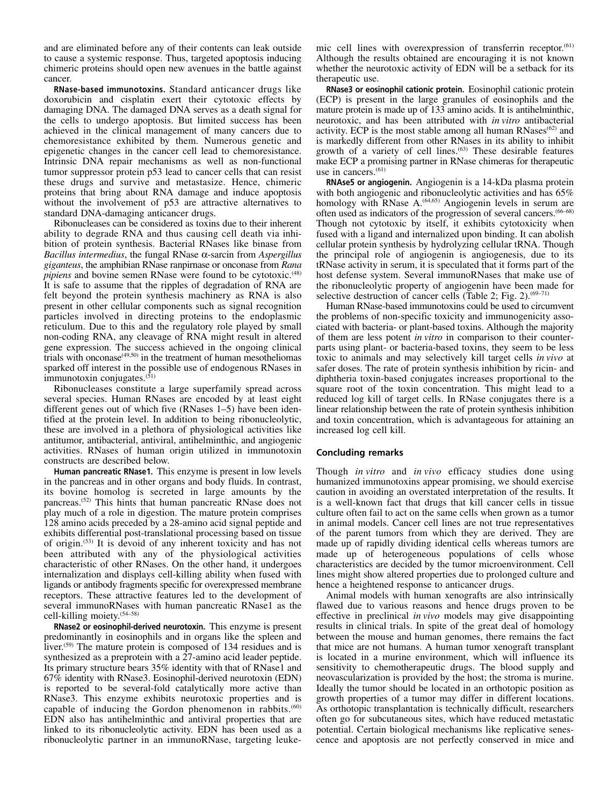and are eliminated before any of their contents can leak outside to cause a systemic response. Thus, targeted apoptosis inducing chimeric proteins should open new avenues in the battle against cancer.

**RNase-based immunotoxins.** Standard anticancer drugs like doxorubicin and cisplatin exert their cytotoxic effects by damaging DNA. The damaged DNA serves as a death signal for the cells to undergo apoptosis. But limited success has been achieved in the clinical management of many cancers due to chemoresistance exhibited by them. Numerous genetic and epigenetic changes in the cancer cell lead to chemoresistance. Intrinsic DNA repair mechanisms as well as non-functional tumor suppressor protein p53 lead to cancer cells that can resist these drugs and survive and metastasize. Hence, chimeric proteins that bring about RNA damage and induce apoptosis without the involvement of p53 are attractive alternatives to standard DNA-damaging anticancer drugs.

Ribonucleases can be considered as toxins due to their inherent ability to degrade RNA and thus causing cell death via inhibition of protein synthesis. Bacterial RNases like binase from *Bacillus intermedius*, the fungal RNase α-sarcin from *Aspergillus giganteus*, the amphibian RNase ranpirnase or onconase from *Rana pipiens* and bovine semen RNase were found to be cytotoxic.<sup>(48)</sup> It is safe to assume that the ripples of degradation of RNA are felt beyond the protein synthesis machinery as RNA is also present in other cellular components such as signal recognition particles involved in directing proteins to the endoplasmic reticulum. Due to this and the regulatory role played by small non-coding RNA, any cleavage of RNA might result in altered gene expression. The success achieved in the ongoing clinical trials with onconase $(49,50)$  in the treatment of human mesotheliomas sparked off interest in the possible use of endogenous RNases in immunotoxin conjugates. $(51)$ 

Ribonucleases constitute a large superfamily spread across several species. Human RNases are encoded by at least eight different genes out of which five (RNases 1–5) have been identified at the protein level. In addition to being ribonucleolytic, these are involved in a plethora of physiological activities like antitumor, antibacterial, antiviral, antihelminthic, and angiogenic activities. RNases of human origin utilized in immunotoxin constructs are described below.

**Human pancreatic RNase1.** This enzyme is present in low levels in the pancreas and in other organs and body fluids. In contrast, its bovine homolog is secreted in large amounts by the pancreas.(52) This hints that human pancreatic RNase does not play much of a role in digestion. The mature protein comprises 128 amino acids preceded by a 28-amino acid signal peptide and exhibits differential post-translational processing based on tissue of origin.(53) It is devoid of any inherent toxicity and has not been attributed with any of the physiological activities characteristic of other RNases. On the other hand, it undergoes internalization and displays cell-killing ability when fused with ligands or antibody fragments specific for overexpressed membrane receptors. These attractive features led to the development of several immunoRNases with human pancreatic RNase1 as the cell-killing moiety.(54–58)

**RNase2 or eosinophil-derived neurotoxin.** This enzyme is present predominantly in eosinophils and in organs like the spleen and liver.<sup>(59)</sup> The mature protein is composed of 134 residues and is synthesized as a preprotein with a 27-amino acid leader peptide. Its primary structure bears 35% identity with that of RNase1 and 67% identity with RNase3. Eosinophil-derived neurotoxin (EDN) is reported to be several-fold catalytically more active than RNase3. This enzyme exhibits neurotoxic properties and is capable of inducing the Gordon phenomenon in rabbits.<sup>(60)</sup> EDN also has antihelminthic and antiviral properties that are linked to its ribonucleolytic activity. EDN has been used as a ribonucleolytic partner in an immunoRNase, targeting leukemic cell lines with overexpression of transferrin receptor.<sup>(61)</sup> Although the results obtained are encouraging it is not known whether the neurotoxic activity of EDN will be a setback for its therapeutic use.

**RNase3 or eosinophil cationic protein.** Eosinophil cationic protein (ECP) is present in the large granules of eosinophils and the mature protein is made up of 133 amino acids. It is antihelminthic, neurotoxic, and has been attributed with *in vitro* antibacterial activity. ECP is the most stable among all human  $RNases^{(62)}$  and is markedly different from other RNases in its ability to inhibit growth of a variety of cell lines.(63) These desirable features make ECP a promising partner in RNase chimeras for therapeutic use in cancers.<sup>(61)</sup>

**RNAse5 or angiogenin.** Angiogenin is a 14-kDa plasma protein with both angiogenic and ribonucleolytic activities and has 65% homology with RNase A.<sup>(64,65)</sup> Angiogenin levels in serum are often used as indicators of the progression of several cancers.(66–68) Though not cytotoxic by itself, it exhibits cytotoxicity when fused with a ligand and internalized upon binding. It can abolish cellular protein synthesis by hydrolyzing cellular tRNA. Though the principal role of angiogenin is angiogenesis, due to its tRNase activity in serum, it is speculated that it forms part of the host defense system. Several immunoRNases that make use of the ribonucleolytic property of angiogenin have been made for selective destruction of cancer cells (Table 2; Fig. 2).<sup> $(69-71)$ </sup>

Human RNase-based immunotoxins could be used to circumvent the problems of non-specific toxicity and immunogenicity associated with bacteria- or plant-based toxins. Although the majority of them are less potent *in vitro* in comparison to their counterparts using plant- or bacteria-based toxins, they seem to be less toxic to animals and may selectively kill target cells *in vivo* at safer doses. The rate of protein synthesis inhibition by ricin- and diphtheria toxin-based conjugates increases proportional to the square root of the toxin concentration. This might lead to a reduced log kill of target cells. In RNase conjugates there is a linear relationship between the rate of protein synthesis inhibition and toxin concentration, which is advantageous for attaining an increased log cell kill.

#### **Concluding remarks**

Though *in vitro* and *in vivo* efficacy studies done using humanized immunotoxins appear promising, we should exercise caution in avoiding an overstated interpretation of the results. It is a well-known fact that drugs that kill cancer cells in tissue culture often fail to act on the same cells when grown as a tumor in animal models. Cancer cell lines are not true representatives of the parent tumors from which they are derived. They are made up of rapidly dividing identical cells whereas tumors are made up of heterogeneous populations of cells whose characteristics are decided by the tumor microenvironment. Cell lines might show altered properties due to prolonged culture and hence a heightened response to anticancer drugs.

Animal models with human xenografts are also intrinsically flawed due to various reasons and hence drugs proven to be effective in preclinical *in vivo* models may give disappointing results in clinical trials. In spite of the great deal of homology between the mouse and human genomes, there remains the fact that mice are not humans. A human tumor xenograft transplant is located in a murine environment, which will influence its sensitivity to chemotherapeutic drugs. The blood supply and neovascularization is provided by the host; the stroma is murine. Ideally the tumor should be located in an orthotopic position as growth properties of a tumor may differ in different locations. As orthotopic transplantation is technically difficult, researchers often go for subcutaneous sites, which have reduced metastatic potential. Certain biological mechanisms like replicative senescence and apoptosis are not perfectly conserved in mice and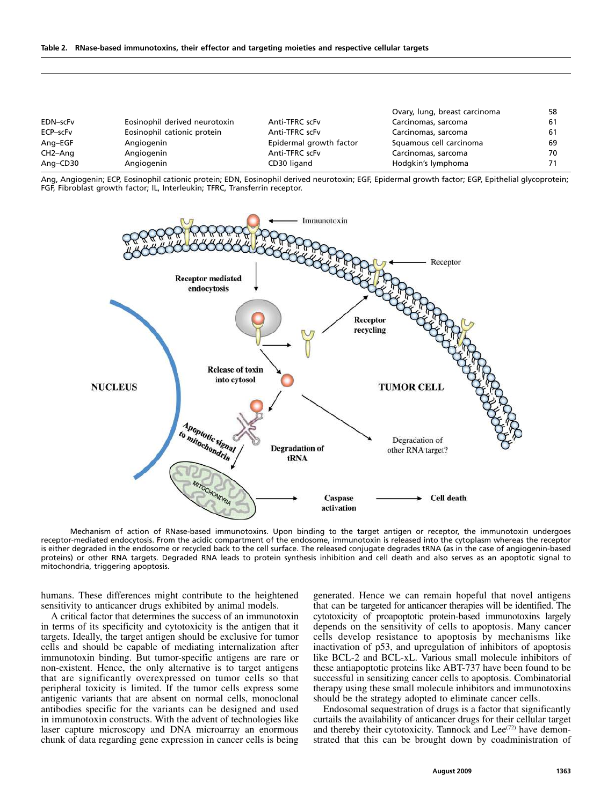|                      |                               |                         | Ovary, lung, breast carcinoma | 58 |
|----------------------|-------------------------------|-------------------------|-------------------------------|----|
| EDN-scFv             | Eosinophil derived neurotoxin | Anti-TFRC scFv          | Carcinomas, sarcoma           | 61 |
| ECP-scFv             | Eosinophil cationic protein   | Anti-TFRC scFv          | Carcinomas, sarcoma           | 61 |
| Ang-EGF              | Angiogenin                    | Epidermal growth factor | Squamous cell carcinoma       | 69 |
| CH <sub>2</sub> -Ang | Angiogenin                    | Anti-TFRC scFv          | Carcinomas, sarcoma           | 70 |
| Ang-CD30             | Angiogenin                    | CD30 ligand             | Hodgkin's lymphoma            | 71 |





Mechanism of action of RNase-based immunotoxins. Upon binding to the target antigen or receptor, the immunotoxin undergoes receptor-mediated endocytosis. From the acidic compartment of the endosome, immunotoxin is released into the cytoplasm whereas the receptor is either degraded in the endosome or recycled back to the cell surface. The released conjugate degrades tRNA (as in the case of angiogenin-based proteins) or other RNA targets. Degraded RNA leads to protein synthesis inhibition and cell death and also serves as an apoptotic signal to mitochondria, triggering apoptosis.

humans. These differences might contribute to the heightened sensitivity to anticancer drugs exhibited by animal models.

A critical factor that determines the success of an immunotoxin in terms of its specificity and cytotoxicity is the antigen that it targets. Ideally, the target antigen should be exclusive for tumor cells and should be capable of mediating internalization after immunotoxin binding. But tumor-specific antigens are rare or non-existent. Hence, the only alternative is to target antigens that are significantly overexpressed on tumor cells so that peripheral toxicity is limited. If the tumor cells express some antigenic variants that are absent on normal cells, monoclonal antibodies specific for the variants can be designed and used in immunotoxin constructs. With the advent of technologies like laser capture microscopy and DNA microarray an enormous chunk of data regarding gene expression in cancer cells is being

generated. Hence we can remain hopeful that novel antigens that can be targeted for anticancer therapies will be identified. The cytotoxicity of proapoptotic protein-based immunotoxins largely depends on the sensitivity of cells to apoptosis. Many cancer cells develop resistance to apoptosis by mechanisms like inactivation of p53, and upregulation of inhibitors of apoptosis like BCL-2 and BCL-xL. Various small molecule inhibitors of these antiapoptotic proteins like ABT-737 have been found to be successful in sensitizing cancer cells to apoptosis. Combinatorial therapy using these small molecule inhibitors and immunotoxins should be the strategy adopted to eliminate cancer cells.

Endosomal sequestration of drugs is a factor that significantly curtails the availability of anticancer drugs for their cellular target and thereby their cytotoxicity. Tannock and  $\text{Lee}^{(72)}$  have demonstrated that this can be brought down by coadministration of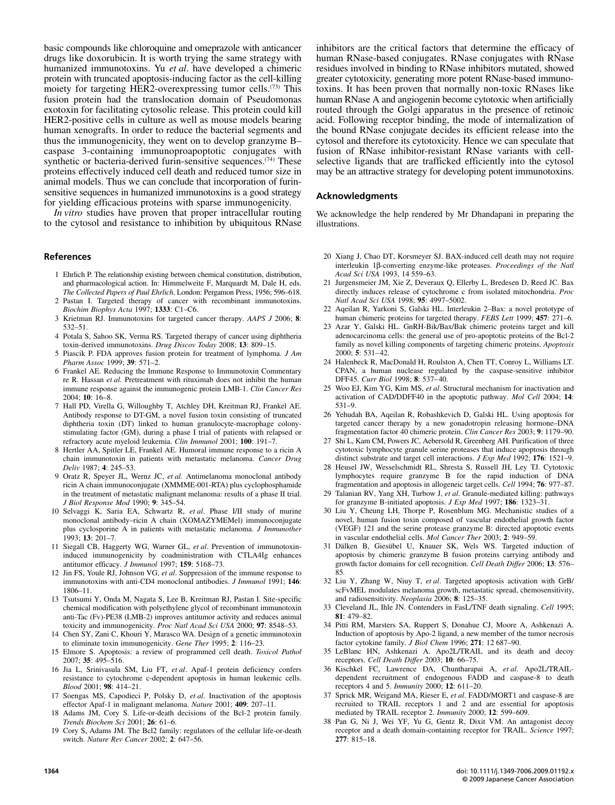basic compounds like chloroquine and omeprazole with anticancer drugs like doxorubicin. It is worth trying the same strategy with humanized immunotoxins. Yu *et al*. have developed a chimeric protein with truncated apoptosis-inducing factor as the cell-killing moiety for targeting HER2-overexpressing tumor cells.<sup>(73)</sup> This fusion protein had the translocation domain of Pseudomonas exotoxin for facilitating cytosolic release. This protein could kill HER2-positive cells in culture as well as mouse models bearing human xenografts. In order to reduce the bacterial segments and thus the immunogenicity, they went on to develop granzyme B– caspase 3-containing immunoproapoptotic conjugates with synthetic or bacteria-derived furin-sensitive sequences.<sup>(74)</sup> These proteins effectively induced cell death and reduced tumor size in animal models. Thus we can conclude that incorporation of furinsensitive sequences in humanized immunotoxins is a good strategy for yielding efficacious proteins with sparse immunogenicity.

*In vitro* studies have proven that proper intracellular routing to the cytosol and resistance to inhibition by ubiquitous RNase

#### **References**

- 1 Ehrlich P. The relationship existing between chemical constitution, distribution, and pharmacological action. In: Himmelweite F, Marquardt M, Dale H, eds. *The Collected Papers of Paul Ehrlich*. London: Pergamon Press, 1956; 596–618.
- 2 Pastan I. Targeted therapy of cancer with recombinant immunotoxins. *Biochim Biophys Acta* 1997; **1333**: C1–C6.
- 3 Krietman RJ. Immunotoxins for targeted cancer therapy. *AAPS J* 2006; **8**: 532–51.
- 4 Potala S, Sahoo SK, Verma RS. Targeted therapy of cancer using diphtheria toxin-derived immunotoxins. *Drug Discov Today* 2008; **13**: 809–15.
- 5 Piascik P. FDA approves fusion protein for treatment of lymphoma. *J Am Pharm Assoc* 1999; **39**: 571–2.
- 6 Frankel AE. Reducing the Immune Response to Immunotoxin Commentary re R. Hassan *et al.* Pretreatment with rituximab does not inhibit the human immune response against the immunogenic protein LMB-1. *Clin Cancer Res* 2004; **10**: 16–8.
- 7 Hall PD, Virella G, Willoughby T, Atchley DH, Kreitman RJ, Frankel AE. Antibody response to DT-GM, a novel fusion toxin consisting of truncated diphtheria toxin (DT) linked to human granulocyte-macrophage colonystimulating factor (GM), during a phase I trial of patients with relapsed or refractory acute myeloid leukemia. *Clin Immunol* 2001; **100**: 191–7.
- 8 Hertler AA, Spitler LE, Frankel AE. Humoral immune response to a ricin A chain immunotoxin in patients with metastatic melanoma. *Cancer Drug Deliv* 1987; **4**: 245–53.
- 9 Oratz R, Speyer JL, Wernz JC, *et al*. Antimelanoma monoclonal antibody ricin A chain immunoconjugate (XMMME-001-RTA) plus cyclophosphamide in the treatment of metastatic malignant melanoma: results of a phase II trial. *J Biol Response Mod* 1990; **9**: 345–54.
- 10 Selvaggi K, Saria EA, Schwartz R, *et al*. Phase I/II study of murine monoclonal antibody–ricin A chain (XOMAZYMEMel) immunoconjugate plus cyclosporine A in patients with metastatic melanoma. *J Immunother* 1993; **13**: 201–7.
- 11 Siegall CB, Haggerty WG, Warner GL, *et al*. Prevention of immunotoxininduced immunogenicity by coadministration with CTLA4Ig enhances antitumor efficacy. *J Immunol* 1997; **159**: 5168–73.
- 12 Jin FS, Youle RJ, Johnson VG, *et al*. Suppression of the immune response to immunotoxins with anti-CD4 monoclonal antibodies. *J Immunol* 1991; **146**: 1806–11.
- 13 Tsutsumi Y, Onda M, Nagata S, Lee B, Kreitman RJ, Pastan I. Site-specific chemical modification with polyethylene glycol of recombinant immunotoxin anti-Tac (Fv)-PE38 (LMB-2) improves antitumor activity and reduces animal toxicity and immunogenicity. *Proc Natl Acad Sci USA* 2000; **97**: 8548–53.
- 14 Chen SY, Zani C, Khouri Y, Marasco WA. Design of a genetic immunotoxin to eliminate toxin immunogenicity. *Gene Ther* 1995; **2**: 116–23.
- 15 Elmore S. Apoptosis: a review of programmed cell death. *Toxicol Pathol* 2007; **35**: 495–516.
- 16 Jia L, Srinivasula SM, Liu FT, *et al*. Apaf-1 protein deficiency confers resistance to cytochrome c-dependent apoptosis in human leukemic cells. *Blood* 2001; **98**: 414–21.
- 17 Soengas MS, Capodieci P, Polsky D, *et al*. Inactivation of the apoptosis effector Apaf-1 in malignant melanoma. *Nature* 2001; **409**: 207–11.
- Adams JM, Cory S. Life-or-death decisions of the Bcl-2 protein family. *Trends Biochem Sci* 2001; **26**: 61–6.
- 19 Cory S, Adams JM. The Bcl2 family: regulators of the cellular life-or-death switch. *Nature Rev Cancer* 2002; **2**: 647–56.

inhibitors are the critical factors that determine the efficacy of human RNase-based conjugates. RNase conjugates with RNase residues involved in binding to RNase inhibitors mutated, showed greater cytotoxicity, generating more potent RNase-based immunotoxins. It has been proven that normally non-toxic RNases like human RNase A and angiogenin become cytotoxic when artificially routed through the Golgi apparatus in the presence of retinoic acid. Following receptor binding, the mode of internalization of the bound RNase conjugate decides its efficient release into the cytosol and therefore its cytotoxicity. Hence we can speculate that fusion of RNase inhibitor-resistant RNase variants with cellselective ligands that are trafficked efficiently into the cytosol may be an attractive strategy for developing potent immunotoxins.

#### **Acknowledgments**

We acknowledge the help rendered by Mr Dhandapani in preparing the illustrations.

- 20 Xiang J, Chao DT, Korsmeyer SJ. BAX-induced cell death may not require interleukin 1β-converting enzyme-like proteases. *Proceedings of the Natl Acad Sci USA* 1993, 14 559–63.
- 21 Jurgensmeier JM, Xie Z, Deveraux Q, Ellerby L, Bredesen D, Reed JC. Bax directly induces release of cytochrome c from isolated mitochondria. *Proc Natl Acad Sci USA* 1998; **95**: 4997–5002.
- 22 Aqeilan R, Yarkoni S, Galski HL. Interleukin 2–Bax: a novel prototype of human chimeric proteins for targeted therapy. *FEBS Lett* 1999; **457**: 271–6.
- 23 Azar Y, Galski HL. GnRH-Bik/Bax/Bak chimeric proteins target and kill adenocarcinoma cells: the general use of pro-apoptotic proteins of the Bcl-2 family as novel killing components of targeting chimeric proteins. *Apoptosis* 2000; **5**: 531–42.
- 24 Halenbeck R, MacDonald H, Roulston A, Chen TT, Conroy L, Williams LT. CPAN, a human nuclease regulated by the caspase-sensitive inhibitor DFF45. *Curr Biol* 1998; **8**: 537–40.
- 25 Woo EJ, Kim YG, Kim MS, *et al*. Structural mechanism for inactivation and activation of CAD/DDFF40 in the apoptotic pathway. *Mol Cell* 2004; **14**: 531–9.
- 26 Yehudah BA, Aqeilan R, Robashkevich D, Galski HL. Using apoptosis for targeted cancer therapy by a new gonadotropin releasing hormone–DNA fragmentation factor 40 chimeric protein. *Clin Cancer Res* 2003; **9**: 1179–90.
- 27 Shi L, Kam CM, Powers JC, Aebersold R, Greenberg AH. Purification of three cytotoxic lymphocyte granule serine proteases that induce apoptosis through distinct substrate and target cell interactions. *J Exp Med* 1992; **176**: 1521–9.
- 28 Heusel JW, Wesselschmidt RL, Shresta S, Russell JH, Ley TJ. Cytotoxic lymphocytes require granzyme B for the rapid induction of DNA fragmentation and apoptosis in allogeneic target cells. *Cell* 1994; **76**: 977–87.
- 29 Talanian RV, Yang XH, Turbow J, *et al*. Granule-mediated killing: pathways for granzyme B-initiated apoptosis. *J Exp Med* 1997; **186**: 1323–31.
- 30 Liu Y, Cheung LH, Thorpe P, Rosenblum MG. Mechanistic studies of a novel, human fusion toxin composed of vascular endothelial growth factor (VEGF) 121 and the serine protease granzyme B: directed apoptotic events in vascular endothelial cells. *Mol Cancer Ther* 2003; **2**: 949–59.
- 31 Dälken B, Giesübel U, Knauer SK, Wels WS. Targeted induction of apoptosis by chimeric granzyme B fusion proteins carrying antibody and growth factor domains for cell recognition. *Cell Death Differ* 2006; **13**: 576– 85.
- 32 Liu Y, Zhang W, Niuy T, *et al*. Targeted apoptosis activation with GrB/ scFvMEL modulates melanoma growth, metastatic spread, chemosensitivity, and radiosensitivity. *Neoplasia* 2006; **8**: 125–35.
- 33 Cleveland JL, Ihle JN. Contenders in FasL/TNF death signaling. *Cell* 1995; **81**: 479–82.
- 34 Pitti RM, Marsters SA, Ruppert S, Donahue CJ, Moore A, Ashkenazi A. Induction of apoptosis by Apo-2 ligand, a new member of the tumor necrosis factor cytokine family. *J Biol Chem* 1996; **271**: 12 687–90.
- 35 LeBlanc HN, Ashkenazi A. Apo2L/TRAIL and its death and decoy receptors. *Cell Death Differ* 2003; **10**: 66–75.
- 36 Kischkel FC, Lawrence DA, Chuntharapai A, *et al*. Apo2L/TRAILdependent recruitment of endogenous FADD and caspase-8 to death receptors 4 and 5. *Immunity* 2000; **12**: 611–20.
- 37 Sprick MR, Weigand MA, Rieser E, *et al*. FADD/MORT1 and caspase-8 are recruited to TRAIL receptors 1 and 2 and are essential for apoptosis mediated by TRAIL receptor 2. *Immunity* 2000; **12**: 599–609.
- 38 Pan G, Ni J, Wei YF, Yu G, Gentz R, Dixit VM. An antagonist decoy receptor and a death domain-containing receptor for TRAIL. *Science* 1997; **277**: 815–18.